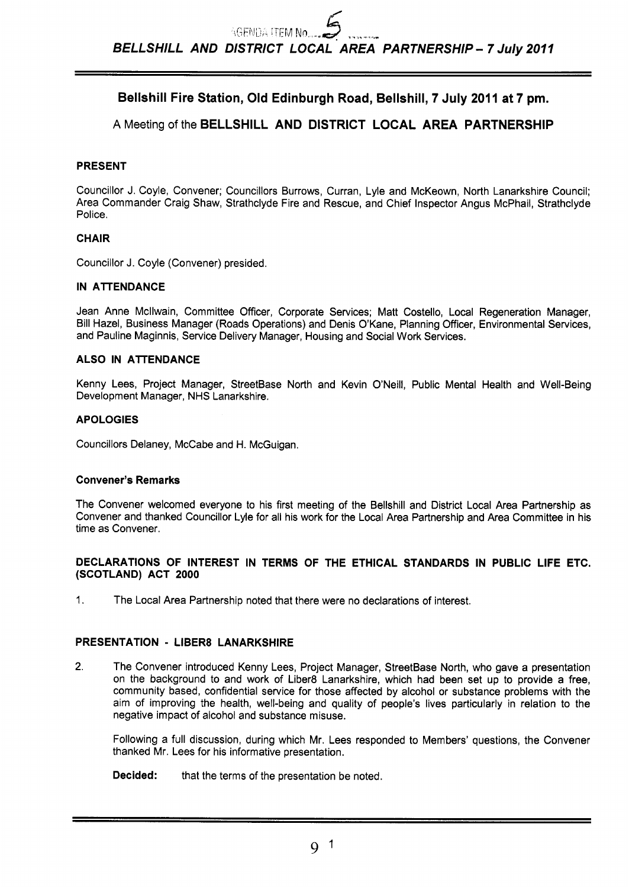# **Bellshill Fire Station, Old Edinburgh Road, Bellshill, 7 July 2011 at 7 pm.**

**A** Meeting of the **BELLSHILL AND DISTRICT LOCAL AREA PARTNERSHIP** 

# **PRESENT**

Councillor J. Coyle, Convener; Councillors Burrows, Curran, Lyle and McKeown, North Lanarkshire Council; Area Commander Craig Shaw, Strathclyde Fire and Rescue, and Chief Inspector Angus McPhail, Strathclyde Police.

# **CHAIR**

Councillor J. Coyle (Convener) presided.

# **IN ATTENDANCE**

Jean Anne Mcllwain, Committee Officer, Corporate Services; Matt Costello, Local Regeneration Manager, Bill Hazel, Business Manager (Roads Operations) and Denis O'Kane, Planning Officer, Environmental Services, and Pauline Maginnis, Service Delivery Manager, Housing and Social Work Services.

# **ALSO IN ATTENDANCE**

Kenny Lees, Project Manager, StreetBase North and Kevin O'Neill, Public Mental Health and Well-Being Development Manager, NHS Lanarkshire.

# **APOLOGIES**

Councillors Delaney, McCabe and H. McGuigan.

# **Convener's Remarks**

The Convener welcomed everyone to his first meeting of the Bellshill and District Local Area Partnership as Convener and thanked Councillor Lyle for all his work for the Local Area Partnership and Area Committee in his time as Convener.

# **DECLARATIONS OF INTEREST IN TERMS OF THE ETHICAL STANDARDS IN PUBLIC LIFE ETC. (SCOTLAND) ACT 2000**

1. The Local Area Partnership noted that there were no declarations of interest.

# **PRESENTATION** - **LlBER8 LANARKSHIRE**

**2.** The Convener introduced Kenny Lees, Project Manager, StreetBase North, who gave a presentation on the background to and work of Liber8 Lanarkshire, which had been set up to provide a free, community based, confidential service for those affected by alcohol or substance problems with the aim of improving the health, well-being and quality of people's lives particularly in relation to the negative impact of alcohol and substance misuse.

Following a full discussion, during which Mr. Lees responded to Members' questions, the Convener thanked Mr. Lees for his informative presentation.

**Decided:** that the terms of the presentation be noted.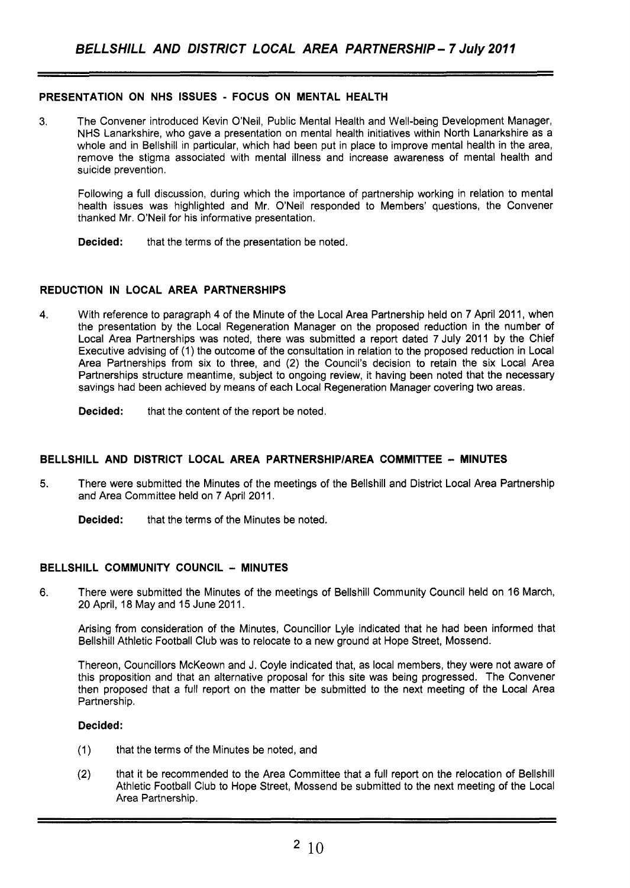# **PRESENTATION ON NHS ISSUES** - **FOCUS ON MENTAL HEALTH**

**3.** The Convener introduced Kevin O'Neil, Public Mental Health and Well-being Development Manager, NHS Lanarkshire, who gave a presentation on mental health initiatives within North Lanarkshire as a whole and in Bellshill in particular, which had been put in place to improve mental health in the area, remove the stigma associated with mental illness and increase awareness of mental health and suicide prevention.

Following a full discussion, during which the importance of partnership working in relation to mental health issues was highlighted and Mr. O'Neil responded to Members' questions, the Convener thanked Mr. O'Neil for his informative presentation.

**Decided:** that the terms of the presentation be noted.

# **REDUCTION IN LOCAL AREA PARTNERSHIPS**

- 4. With reference to paragraph 4 of the Minute of the Local Area Partnership held on 7 April 2011, when the presentation by the Local Regeneration Manager on the proposed reduction in the number of Local Area Partnerships was noted, there was submitted a report dated 7 July 2011 by the Chief Executive advising of (1) the outcome of the consultation in relation to the proposed reduction in Local Area Partnerships from six to three, and (2) the Council's decision to retain the six Local Area Partnerships structure meantime, subject to ongoing review, it having been noted that the necessary savings had been achieved by means of each Local Regeneration Manager covering two areas.
	- **Decided:** that the content of the report be noted.

# **BELLSHILL AND DISTRICT LOCAL AREA PARTNERSHlPlAREA COMMITTEE** - **MINUTES**

- **5.** There were submitted the Minutes of the meetings of the Bellshill and District Local Area Partnership and Area Committee held on 7 April 2011.
	- **Decided:** that the terms of the Minutes be noted.

# **BELLSHILL COMMUNITY COUNCIL** - **MINUTES**

6. There were submitted the Minutes of the meetings of Bellshill Community Council held on 16 March, 20 April, 18 May and 15 June 2011.

Arising from consideration of the Minutes, Councillor Lyle indicated that he had been informed that Bellshill Athletic Football Club was to relocate to a new ground at Hope Street, Mossend.

Thereon, Councillors McKeown and J. Coyle indicated that, as local members, they were not aware of this proposition and that an alternative proposal for this site was being progressed. The Convener then proposed that a full report on the matter be submitted to the next meeting of the Local Area Partnership.

#### **Decided:**

- (1) that the terms of the Minutes be noted, and
- (2) that it be recommended to the Area Committee that a full report on the relocation of Bellshill Athletic Football Club to Hope Street, Mossend be submitted to the next meeting of the Local Area Partnership.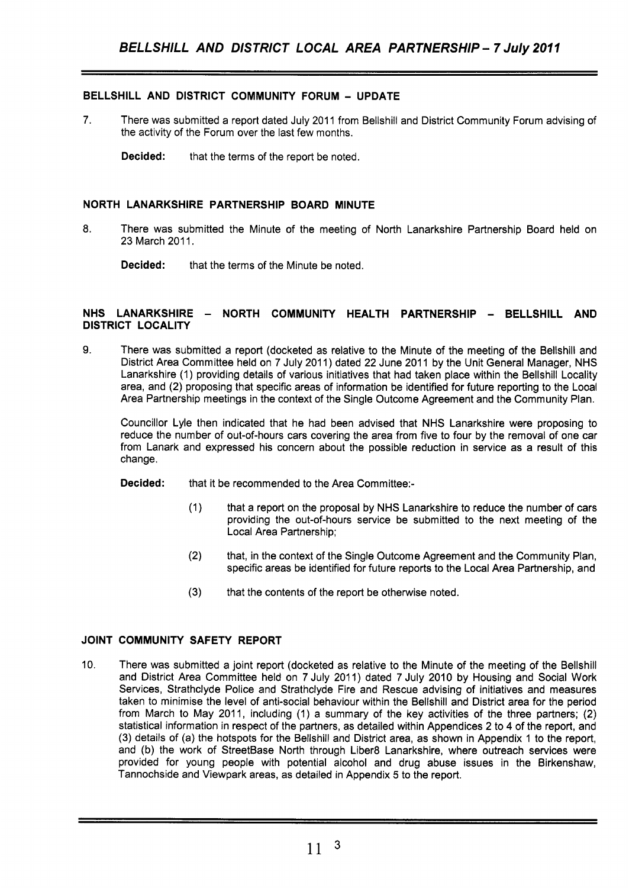# **BELLSHILL AND DISTRICT COMMUNITY FORUM** - **UPDATE**

7. There was submitted a report dated July 2011 from Bellshill and District Community Forum advising of the activity of the Forum over the last few months.

**Decided:** that the terms of the report be noted.

# **NORTH LANARKSHIRE PARTNERSHIP BOARD MINUTE**

**8.** There was submitted the Minute of the meeting of North Lanarkshire Partnership Board held on 23 March 2011.

**Decided:** that the terms of the Minute be noted.

### **NHS LANARKSHIRE** - **NORTH COMMUNITY HEALTH PARTNERSHIP** - **BELLSHILL AND DISTRICT LOCALITY**

**9.** There was submitted a report (docketed as relative to the Minute of the meeting of the Bellshill and District Area Committee held on 7 July 2011) dated 22 June 2011 by the Unit General Manager, NHS Lanarkshire (1) providing details of various initiatives that had taken place within the Bellshill Locality area, and (2) proposing that specific areas of information be identified for future reporting to the Looal Area Partnership meetings in the context of the Single Outcome Agreement and the Community Plan.

Councillor Lyle then indicated that he had been advised that NHS Lanarkshire were proposing to reduce the number of out-of-hours cars covering the area from five to four by the removal of one car from Lanark and expressed his concern about the possible reduction in service as a result of this change.

- **Decided:** that it be recommended to the Area Committee:-
	- (1) that a report on the proposal by NHS Lanarkshire to reduce the number of cars providing the out-of-hours service be submitted to the next meeting of the Local Area Partnership;
	- (2) that, in the context of the Single Outcome Agreement and the Community Plan, specific areas be identified for future reports to the Local Area Partnership, and
	- (3) that the contents of the report be otherwise noted.

# **JOINT COMMUNITY SAFETY REPORT**

10. There was submitted a joint report (docketed as relative to the Minute of the meeting of the Bellshill and District Area Committee held on 7 July 2011) dated 7 July 2010 by Housing and Social Work Services, Strathclyde Police and Strathclyde Fire and Rescue advising of initiatives and measures taken to minimise the level of anti-social behaviour within the Bellshill and District area for the period from March to May 2011, including (1) a summary of the key activities of the three partners; (2) statistical information in respect of the partners, as detailed within Appendices 2 to **4** of the report, and (3) details of (a) the hotspots for the Bellshill and District area, as shown in Appendix 1 to the report, and (b) the work of StreetBase North through Liber8 Lanarkshire, where outreach services were provided for young people with potential alcohol and drug abuse issues in the Birkenshaw, Tannochside and Viewpark areas, as detailed in Appendix 5 to the report.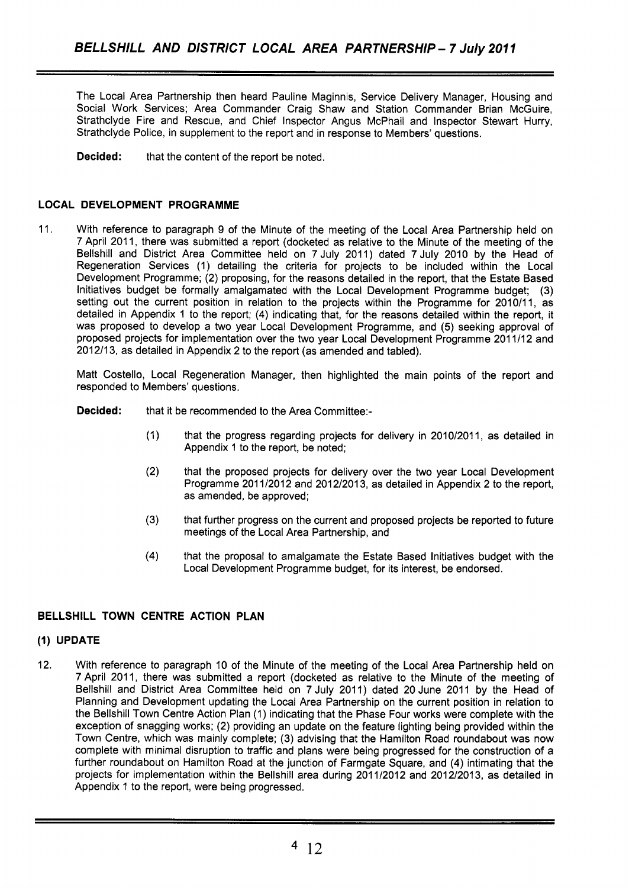The Local Area Partnership then heard Pauline Maginnis, Service Delivery Manager, Housing and Social Work Services; Area Commander Craig Shaw and Station Commander Brian McGuire, Strathclyde Fire and Rescue, and Chief Inspector Angus McPhail and Inspector Stewart Hurry, Strathclyde Police, in supplement to the report and in response to Members' questions.

**Decided:** that the content of the report be noted.

# **LOCAL DEVELOPMENT PROGRAMME**

11. With reference to paragraph 9 of the Minute of the meeting of the Local Area Partnership held on 7 April 201 1, there was submitted a report (docketed as relative to the Minute of the meeting of the Bellshill and District Area Committee held on 7 July 2011) dated 7 July 2010 by the Head of Regeneration Services (1) detailing the criteria for projects to be included within the Local Development Programme; (2) proposing, for the reasons detailed in the report, that the Estate Based Initiatives budget be formally amalgamated with the Local Development Programme budget; (3) setting out the current position in relation to the projects within the Programme for 2010/11, as detailed in Appendix 1 to the report; (4) indicating that, for the reasons detailed within the report, it was proposed to develop a two year Local Development Programme, and (5) seeking approval of proposed projects for implementation over the two year Local Development Programme 201 1/12 and 2012/13, as detailed in Appendix 2 to the report (as amended and tabled).

Matt Costello, Local Regeneration Manager, then highlighted the main points of the report and responded to Members' questions.

**Decided:** that it be recommended to the Area Committee:-

- (1) that the progress regarding projects for delivery in 2010/2011, as detailed in Appendix 1 to the report, be noted;
- (2) that the proposed projects for delivery over the two year Local Development Programme 2011/2012 and 2012/2013, as detailed in Appendix 2 to the report, as amended, be approved;
- (3) that further progress on the current and proposed projects be reported to future meetings of the Local Area Partnership, and
- **(4)** that the proposal to amalgamate the Estate Based Initiatives budget with the Local Development Programme budget, for its interest, be endorsed.

# **BELLSHILL TOWN CENTRE ACTION PLAN**

# **(1) UPDATE**

12. With reference to paragraph 10 of the Minute of the meeting of the Local Area Partnership held on 7 April 2011, there was submitted a report (docketed as relative to the Minute of the meeting of Bellshill and District Area Committee held on 7 July 2011) dated 20 June 2011 by the Head of Planning and Development updating the Local Area Partnership on the current position in relation to the Bellshill Town Centre Action Plan (1) indicating that the Phase Four works were complete with the exception of snagging works; (2) providing an update on the feature lighting being provided within the Town Centre, which was mainly complete; (3) advising that the Hamilton Road roundabout was now complete with minimal disruption to traffic and plans were being progressed for the construction of a further roundabout on Hamilton Road at the junction of Farmgate Square, and **(4)** intimating that the projects for implementation within the Bellshill area during 2011/2012 and 2012/2013, as detailed in Appendix 1 to the report, were being progressed.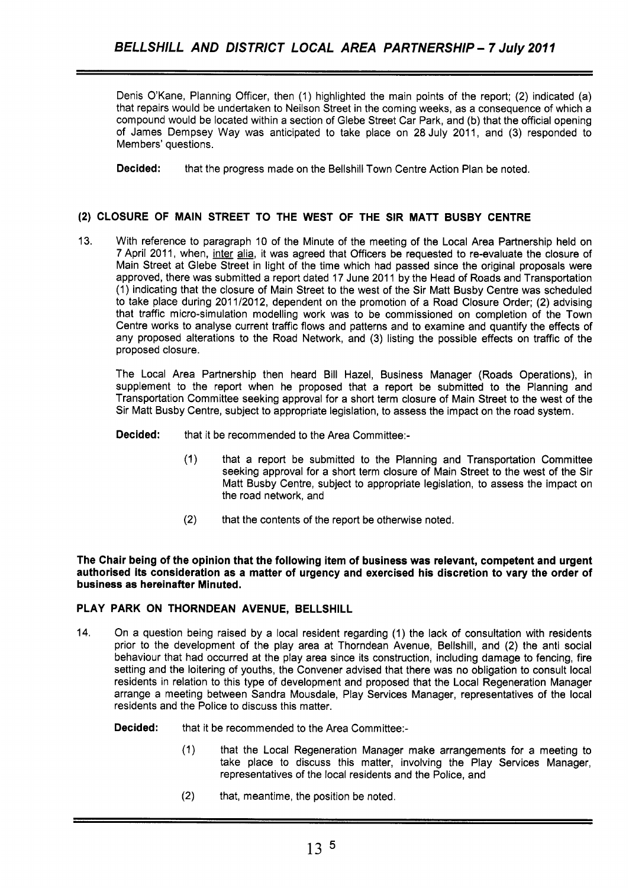Denis O'Kane, Planning Officer, then (1) highlighted the main points of the report; (2) indicated (a) that repairs would be undertaken to Neilson Street in the coming weeks, as a consequence of which a compound would be located within a section of Glebe Street Car Park, and (b) that the official opening of James Dempsey Way was anticipated to take place on 28 July 2011, and (3) responded to Members' questions.

**Decided:** that the progress made on the Bellshill Town Centre Action Plan be noted.

# **(2) CLOSURE OF MAIN STREET TO THE WEST OF THE SIR MATT BUSBY CENTRE**

13. With reference to paragraph 10 of the Minute of the meeting of the Local Area Partnership held on 7 April 2011, when, inter alia, it was agreed that Officers be requested to re-evaluate the closure of Main Street at Glebe Street in light of the time which had passed since the original proposals were approved, there was submitted a report dated 17 June 2011 by the Head of Roads and Transportation (1) indicating that the closure of Main Street to the west of the Sir Matt Busby Centre was scheduled to take place during 2011/2012, dependent on the promotion of a Road Closure Order; (2) advising that traffic micro-simulation modelling work was to be commissioned on completion of the Town Centre works to analyse current traffic flows and patterns and to examine and quantify the effects of any proposed alterations to the Road Network, and (3) listing the possible effects on traffic of the proposed closure.

The Local Area Partnership then heard Bill Hazel, Business Manager (Roads Operations), in supplement to the report when he proposed that a report be submitted to the Planning and Transportation Committee seeking approval for a short term closure of Main Street to the west of the Sir Matt Busby Centre, subject to appropriate legislation, to assess the impact on the road system.

- **Decided:** that it be recommended to the Area Committee:-
	- (1) that a report be submitted to the Planning and Transportation Committee seeking approval for a short term closure of Main Street to the west of the Sir Matt Busby Centre, subject to appropriate legislation, to assess the impact on the road network, and
	- (2) that the contents of the report be otherwise noted.

**The Chair being of the opinion that the following item of business was relevant, competent and urgent authorised its consideration as a matter of urgency and exercised his discretion to vary the order of business as hereinafter Minuted.** 

# **PLAY PARK ON THORNDEAN AVENUE, BELLSHILL**

- 14. On a question being raised by a local resident regarding (1) the lack of consultation with residents prior to the development of the play area at Thorndean Avenue, Bellshill, and (2) the anti social behaviour that had occurred at the play area since its construction, including damage to fencing, fire setting and the loitering of youths, the Convener advised that there was no obligation to consult local residents in relation to this type of development and proposed that the Local Regeneration Manager arrange a meeting between Sandra Mousdale, Play Services Manager, representatives of the local residents and the Police to discuss this matter.
	- **Decided:** that it be recommended to the Area Committee:-
		- (1) that the Local Regeneration Manager make arrangements for a meeting to take place to discuss this matter, involving the Play Services Manager, representatives of the local residents and the Police, and
		- (2) that, meantime, the position be noted.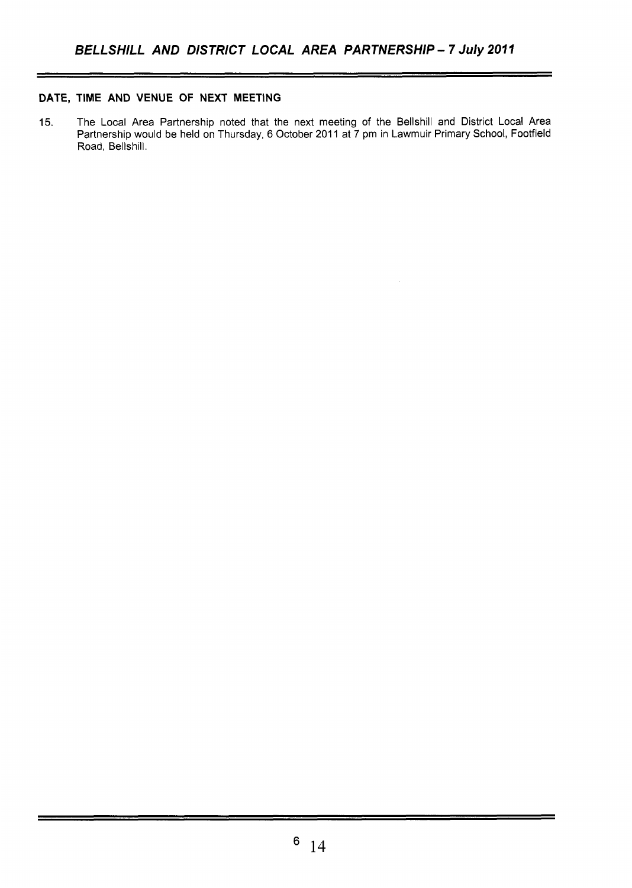# **DATE, TIME AND VENUE OF NEXT MEETING**

15. The Local Area Partnership noted that the next meeting of the Bellshill and District Local Area Partnership would be held on Thursday, 6 October 2011 at 7 pm in Lawmuir Primary School, Footfield Road, Bellshill.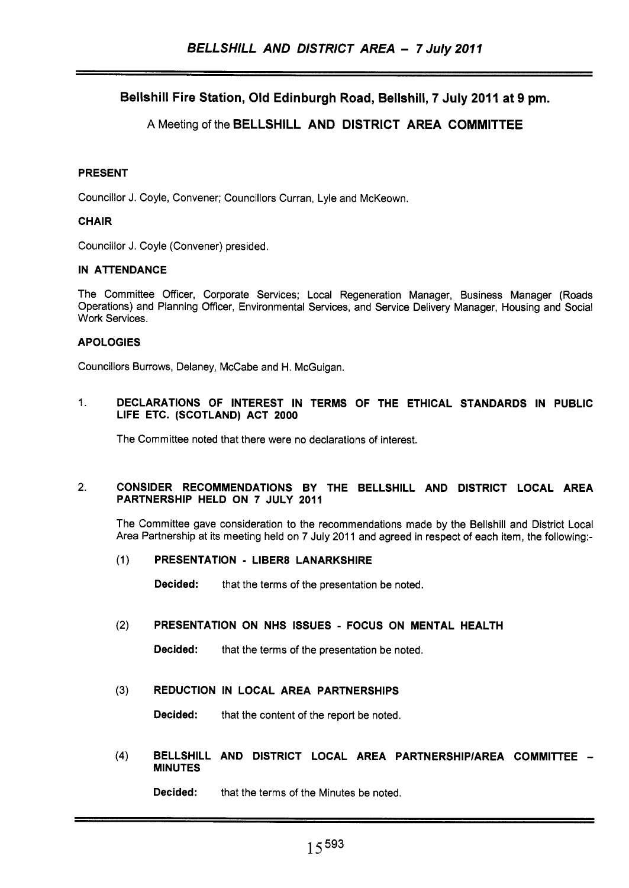# Bellshill Fire Station, Old Edinburgh Road, Bellshill, 7 July 2011 at 9 pm.

# A Meeting of the BELLSHILL AND DISTRICT AREA COMMITTEE

### PRESENT

Councillor J. Coyle, Convener; Councillors Curran, Lyle and McKeown.

### **CHAIR**

Councillor J. Coyle (Convener) presided.

#### IN ATTENDANCE

The Committee Officer, Corporate Services; Local Regeneration Manager, Business Manager (Roads Operations) and Planning Officer, Environmental Services, and Service Delivery Manager, Housing and Social Work Services.

# APOLOGIES

Councillors Burrows, Delaney, McCabe and H. McGuigan.

### 1. DECLARATIONS OF INTEREST IN TERMS OF THE ETHICAL STANDARDS IN PUBLIC LIFE ETC. (SCOTLAND) ACT **2000**

The Committee noted that there were no declarations of interest.

#### 2. CONSIDER RECOMMENDATIONS BY THE BELLSHILL AND DISTRICT LOCAL AREA PARTNERSHIP HELD ON 7 JULY **2011**

The Committee gave consideration to the recommendations made by the Bellshill and District Local Area Partnership at its meeting held on 7 July 2011 and agreed in respect of each item, the following:-

#### (1) PRESENTATION - LIBER8 LANARKSHIRE

Decided: that the terms of the presentation be noted.

#### (2) PRESENTATION ON NHS ISSUES - FOCUS ON MENTAL HEALTH

Decided: that the terms of the presentation be noted.

# **(3)** REDUCTION IN LOCAL AREA PARTNERSHIPS

Decided: that the content of the report be noted.

(4) BELLSHILL AND DISTRICT LOCAL AREA PARTNERSHIP/AREA COMMITTEE -MINUTES

Decided: that the terms of the Minutes be noted.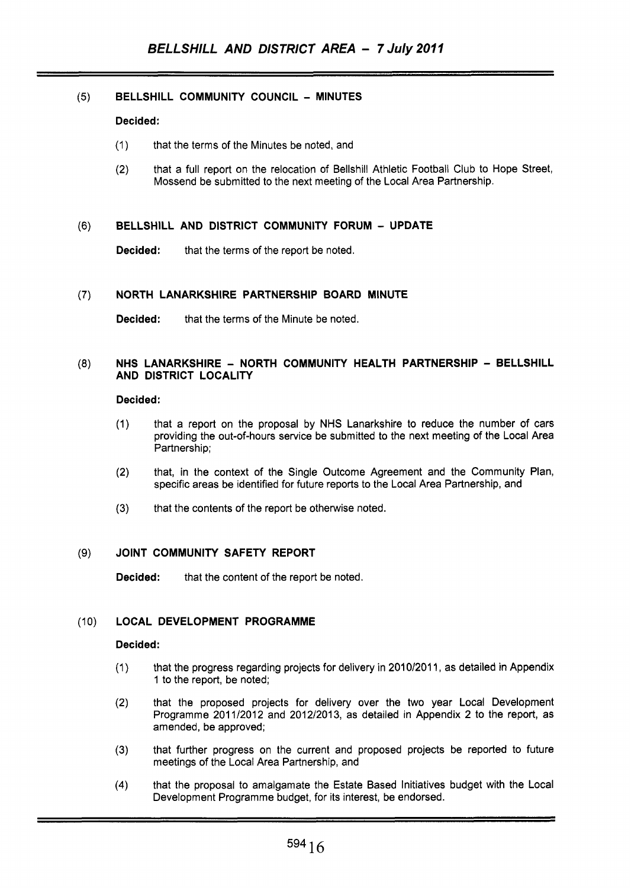# (5) **BELLSHILL COMMUNITY COUNCIL** - **MINUTES**

## **Decided:**

- (1) that the terms of the Minutes be noted, and
- (2) that a full report on the relocation of Bellshill Athletic Football Club to Hope Street, Mossend be submitted to the next meeting of the Local Area Partnership.

#### (6) **BELLSHILL AND DISTRICT COMMUNITY FORUM** - **UPDATE**

**Decided:** that the terms of the report be noted.

#### **(7) NORTH LANARKSHIRE PARTNERSHIP BOARD MINUTE**

**Decided:** that the terms of the Minute be noted.

# **(8) NHS LANARKSHIRE** - **NORTH COMMUNITY HEALTH PARTNERSHIP** - **BELLSHILL AND DISTRICT LOCALITY**

#### **Decided:**

- (1) that a report on the proposal by NHS Lanarkshire to reduce the number of cars providing the out-of-hours service be submitted to the next meeting of the Local Area Partnership;
- (2) that, in the context of the Single Outcome Agreement and the Community Plan, specific areas be identified for future reports to the Local Area Partnership, and
- (3) that the contents of the report be otherwise noted.

# **(9) JOINT COMMUNITY SAFETY REPORT**

**Decided:** that the content of the report be noted.

# (10) **LOCAL DEVELOPMENT PROGRAMME**

#### **Decided:**

- (1) that the progress regarding projects for delivery in 2010/2011, as detailed in Appendix 1 to the report, be noted;
- (2) that the proposed projects for delivery over the two year Local Development Programme 2011/2012 and 2012/2013, as detailed in Appendix **2** to the report, as amended, be approved;
- that further progress **on** the current and proposed projects be reported to future meetings of the Local Area Partnership, and **(3)**
- **(4)** that the proposal to amalgamate the Estate Based Initiatives budget with the Local Development Programme budget, for its interest, be endorsed.